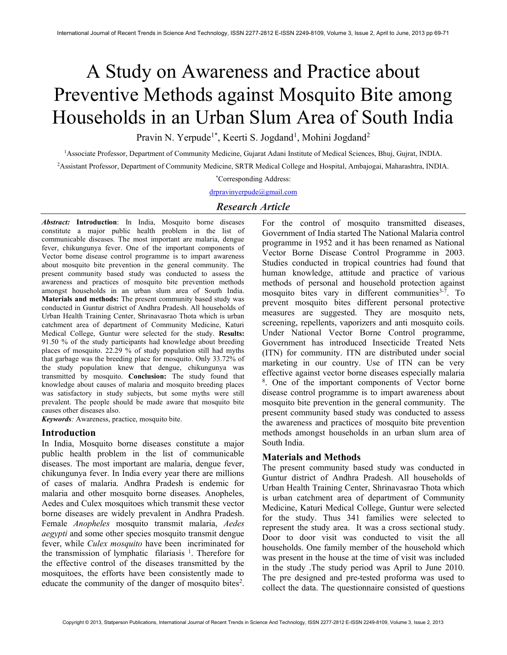# A Study on Awareness and Practice about Preventive Methods against Mosquito Bite among Households in an Urban Slum Area of South India

Pravin N. Yerpude<sup>1\*</sup>, Keerti S. Jogdand<sup>1</sup>, Mohini Jogdand<sup>2</sup>

<sup>1</sup>Associate Professor, Department of Community Medicine, Gujarat Adani Institute of Medical Sciences, Bhuj, Gujrat, INDIA.

<sup>2</sup>Assistant Professor, Department of Community Medicine, SRTR Medical College and Hospital, Ambajogai, Maharashtra, INDIA.

\*Corresponding Address:

drpravinyerpude@gmail.com

# Research Article

Abstract: Introduction: In India, Mosquito borne diseases constitute a major public health problem in the list of communicable diseases. The most important are malaria, dengue fever, chikungunya fever. One of the important components of Vector borne disease control programme is to impart awareness about mosquito bite prevention in the general community. The present community based study was conducted to assess the awareness and practices of mosquito bite prevention methods amongst households in an urban slum area of South India. Materials and methods: The present community based study was conducted in Guntur district of Andhra Pradesh. All households of Urban Health Training Center, Shrinavasrao Thota which is urban catchment area of department of Community Medicine, Katuri Medical College, Guntur were selected for the study. Results: 91.50 % of the study participants had knowledge about breeding places of mosquito. 22.29 % of study population still had myths that garbage was the breeding place for mosquito. Only 33.72% of the study population knew that dengue, chikungunya was transmitted by mosquito. Conclusion: The study found that knowledge about causes of malaria and mosquito breeding places was satisfactory in study subjects, but some myths were still prevalent. The people should be made aware that mosquito bite causes other diseases also.

Keywords: Awareness, practice, mosquito bite.

# Introduction

In India, Mosquito borne diseases constitute a major public health problem in the list of communicable diseases. The most important are malaria, dengue fever, chikungunya fever. In India every year there are millions of cases of malaria. Andhra Pradesh is endemic for malaria and other mosquito borne diseases. Anopheles, Aedes and Culex mosquitoes which transmit these vector borne diseases are widely prevalent in Andhra Pradesh. Female Anopheles mosquito transmit malaria, Aedes aegypti and some other species mosquito transmit dengue fever, while Culex mosquito have been incriminated for the transmission of lymphatic filariasis<sup>1</sup>. Therefore for the effective control of the diseases transmitted by the mosquitoes, the efforts have been consistently made to educate the community of the danger of mosquito bites<sup>2</sup>.

For the control of mosquito transmitted diseases, Government of India started The National Malaria control programme in 1952 and it has been renamed as National Vector Borne Disease Control Programme in 2003. Studies conducted in tropical countries had found that human knowledge, attitude and practice of various methods of personal and household protection against mosquito bites vary in different communities $3-7$ . To prevent mosquito bites different personal protective measures are suggested. They are mosquito nets, screening, repellents, vaporizers and anti mosquito coils. Under National Vector Borne Control programme, Government has introduced Insecticide Treated Nets (ITN) for community. ITN are distributed under social marketing in our country. Use of ITN can be very effective against vector borne diseases especially malaria 8 . One of the important components of Vector borne disease control programme is to impart awareness about mosquito bite prevention in the general community. The present community based study was conducted to assess the awareness and practices of mosquito bite prevention methods amongst households in an urban slum area of South India.

# Materials and Methods

The present community based study was conducted in Guntur district of Andhra Pradesh. All households of Urban Health Training Center, Shrinavasrao Thota which is urban catchment area of department of Community Medicine, Katuri Medical College, Guntur were selected for the study. Thus 341 families were selected to represent the study area. It was a cross sectional study. Door to door visit was conducted to visit the all households. One family member of the household which was present in the house at the time of visit was included in the study .The study period was April to June 2010. The pre designed and pre-tested proforma was used to collect the data. The questionnaire consisted of questions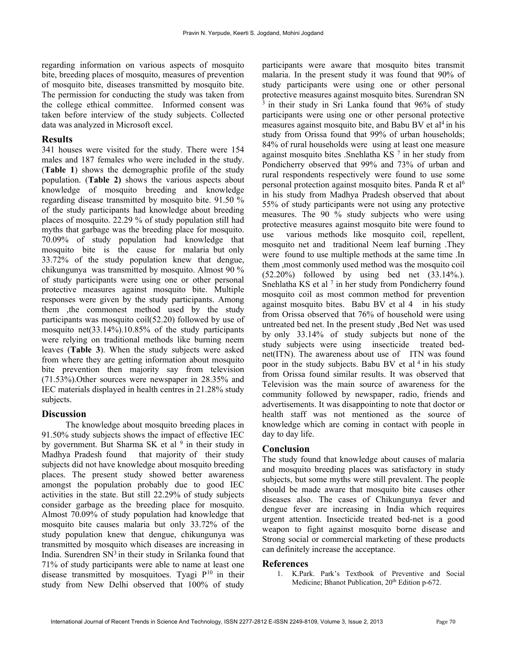regarding information on various aspects of mosquito bite, breeding places of mosquito, measures of prevention of mosquito bite, diseases transmitted by mosquito bite. The permission for conducting the study was taken from the college ethical committee. Informed consent was taken before interview of the study subjects. Collected data was analyzed in Microsoft excel.

#### Results

341 houses were visited for the study. There were 154 males and 187 females who were included in the study. (Table 1) shows the demographic profile of the study population. (Table 2) shows the various aspects about knowledge of mosquito breeding and knowledge regarding disease transmitted by mosquito bite. 91.50 % of the study participants had knowledge about breeding places of mosquito. 22.29 % of study population still had myths that garbage was the breeding place for mosquito. 70.09% of study population had knowledge that mosquito bite is the cause for malaria but only 33.72% of the study population knew that dengue, chikungunya was transmitted by mosquito. Almost 90 % of study participants were using one or other personal protective measures against mosquito bite. Multiple responses were given by the study participants. Among them ,the commonest method used by the study participants was mosquito coil(52.20) followed by use of mosquito net(33.14%).10.85% of the study participants were relying on traditional methods like burning neem leaves (Table 3). When the study subjects were asked from where they are getting information about mosquito bite prevention then majority say from television (71.53%).Other sources were newspaper in 28.35% and IEC materials displayed in health centres in 21.28% study subjects.

# **Discussion**

 The knowledge about mosquito breeding places in 91.50% study subjects shows the impact of effective IEC by government. But Sharma SK et al <sup>9</sup> in their study in Madhya Pradesh found that majority of their study subjects did not have knowledge about mosquito breeding places. The present study showed better awareness amongst the population probably due to good IEC activities in the state. But still 22.29% of study subjects consider garbage as the breeding place for mosquito. Almost 70.09% of study population had knowledge that mosquito bite causes malaria but only 33.72% of the study population knew that dengue, chikungunya was transmitted by mosquito which diseases are increasing in India. Surendren  $SN<sup>3</sup>$  in their study in Srilanka found that 71% of study participants were able to name at least one disease transmitted by mosquitoes. Tyagi  $P^{10}$  in their study from New Delhi observed that 100% of study

participants were aware that mosquito bites transmit malaria. In the present study it was found that 90% of study participants were using one or other personal protective measures against mosquito bites. Surendran SN  $\frac{3}{3}$  in their study in Sri Lanka found that 96% of study participants were using one or other personal protective measures against mosquito bite, and Babu BV et al<sup>4</sup> in his study from Orissa found that 99% of urban households; 84% of rural households were using at least one measure against mosquito bites .Snehlatha KS <sup>7</sup> in her study from Pondicherry observed that 99% and 73% of urban and rural respondents respectively were found to use some personal protection against mosquito bites. Panda R et al<sup>6</sup> in his study from Madhya Pradesh observed that about 55% of study participants were not using any protective measures. The 90 % study subjects who were using protective measures against mosquito bite were found to use various methods like mosquito coil, repellent, mosquito net and traditional Neem leaf burning .They were found to use multiple methods at the same time .In them ,most commonly used method was the mosquito coil (52.20%) followed by using bed net (33.14%.). Snehlatha KS et al<sup>7</sup> in her study from Pondicherry found mosquito coil as most common method for prevention against mosquito bites. Babu BV et al 4 in his study from Orissa observed that 76% of household were using untreated bed net. In the present study ,Bed Net was used by only 33.14% of study subjects but none of the study subjects were using insecticide treated bednet(ITN). The awareness about use of ITN was found poor in the study subjects. Babu BV et al  $4$  in his study from Orissa found similar results. It was observed that Television was the main source of awareness for the community followed by newspaper, radio, friends and advertisements. It was disappointing to note that doctor or health staff was not mentioned as the source of knowledge which are coming in contact with people in day to day life.

# Conclusion

The study found that knowledge about causes of malaria and mosquito breeding places was satisfactory in study subjects, but some myths were still prevalent. The people should be made aware that mosquito bite causes other diseases also. The cases of Chikungunya fever and dengue fever are increasing in India which requires urgent attention. Insecticide treated bed-net is a good weapon to fight against mosquito borne disease and Strong social or commercial marketing of these products can definitely increase the acceptance.

# References

1. K.Park. Park's Textbook of Preventive and Social Medicine; Bhanot Publication, 20<sup>th</sup> Edition p-672.